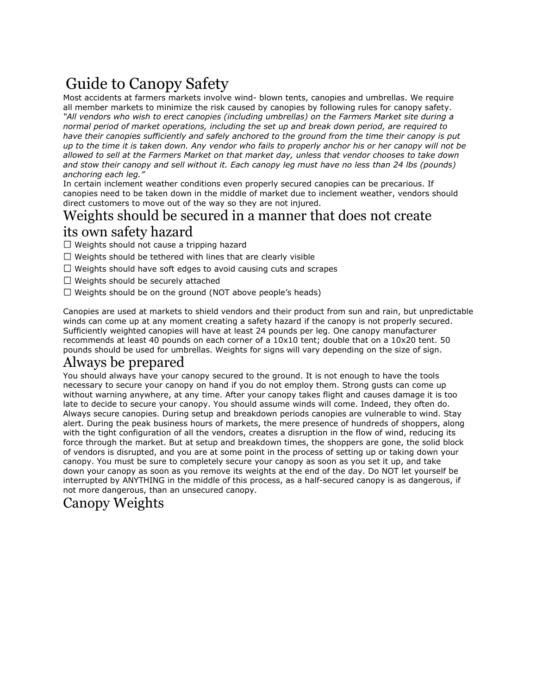# Guide to Canopy Safety

Most accidents at farmers markets involve wind- blown tents, canopies and umbrellas. We require all member markets to minimize the risk caused by canopies by following rules forcanopy safety. *"All vendors who wish to erect canopies (including umbrellas) on the Farmers Market site during a normal period of market operations, including the set up and break down period, are required to have their canopies sufficiently and safely anchored to the ground from the time their canopy is put* up to the time it is taken down. Any vendor who fails to properly anchor his or her canopy will not be *allowed to sell at the Farmers Market on that market day, unless thatvendor chooses to take down* and stow their canopy and sell without it. Each canopy leg must have no less than 24 lbs (pounds) *anchoring each leg."*

In certain inclement weather conditions even properly secured canopies can be precarious. If canopies need to be taken down in the middle of market due to inclement weather, vendors should direct customers to move out of the way so they are not injured.

#### Weights should be secured in a manner that does not create its own safety hazard

 $\Box$  Weights should not cause a tripping hazard

- $\Box$  Weights should be tethered with lines that are clearly visible
- $\Box$  Weights should have soft edges to avoid causing cuts and scrapes
- $\Box$  Weights should be securely attached
- $\Box$  Weights should be on the ground (NOT above people's heads)

Canopies are used at markets to shield vendors and their product from sun and rain, but unpredictable winds can come up at any moment creating a safety hazard if the canopy is not properly secured. Sufficiently weighted canopies will have at least 24 pounds per leg. One canopy manufacturer recommends at least 40 pounds on each corner of a 10x10 tent; double that on a 10x20 tent. 50 pounds should be used for umbrellas. Weights for signs will vary depending on the size of sign.

## Always be prepared

You should always have your canopy secured to the ground. It is not enough to have the tools necessary to secure your canopy on hand if you do not employ them. Strong gusts can come up without warning anywhere, at any time. After your canopy takes flight and causes damage it is too late to decide to secure your canopy. You should assume winds will come. Indeed, they often do. Always secure canopies. During setup and breakdown periods canopies are vulnerable to wind. Stay alert. During the peak business hours of markets, the mere presence of hundreds of shoppers, along with the tight configuration of all the vendors, creates a disruption in the flow of wind, reducing its force through the market. But at setup and breakdown times, the shoppers are gone, the solid block of vendors is disrupted, and you are at some point in the process of setting up or taking down your canopy. You must be sure to completely secure your canopy as soon as you set it up, and take down your canopy as soon as you remove its weights at the end of the day. Do NOT let yourself be interrupted by ANYTHING in the middle of this process, as a half-secured canopy is as dangerous, if not more dangerous, than an unsecured canopy.

## Canopy Weights